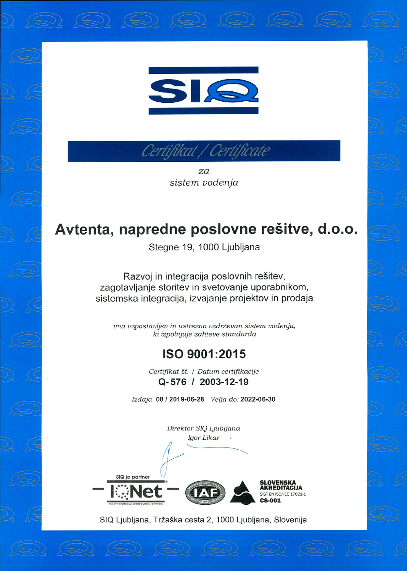



za sistem vodenja

## Avtenta, napredne poslovne rešitve, d.o.o.

Stegne 19, 1000 Ljubljana

**Avtenta, napredne poslovne rešitve, d.o.o.**<br>
Stegne 19, 1000 Ljubljana<br>
Razvoj in integracija poslovnih rešitev,<br>
zagotavljanje storitev in svetovanje uporabnikom,<br>
sistemska integracija, izvajanje projektov in prodaja<br>
i  $\begin{array}{r|l}\n\hline\n\end{array}$ <br>  $\begin{array}{r|l}\n\hline\n\end{array}$ <br>  $\begin{array}{r|l}\n\hline\n\end{array}$ <br>  $\begin{array}{r|l}\n\hline\n\end{array}$ <br>  $\begin{array}{r|l}\n\hline\n\end{array}$ <br> **Avtenta, napredne poslovne rešitve, d.o.o.**<br>
Stegne 19, 1000 Ljubljana<br>
Razvoj in integracija poslovnih r Razvoj in integracija poslovnih rešitev, zagotavljanje storitev in svetovanje uporabnikom, sistemska integracija, izvajanje projektov in prodaja  $\frac{1}{2}$ <br>  $\frac{1}{2}$ <br>  $\frac{1}{2}$ <br>  $\frac{1}{2}$ <br>  $\frac{1}{2}$ <br>  $\frac{1}{2}$ <br>  $\frac{1}{2}$ <br>  $\frac{1}{2}$ <br>  $\frac{1}{2}$ <br>  $\frac{1}{2}$ <br>  $\frac{1}{2}$ <br>  $\frac{1}{2}$ <br>
Avtenta, napredne poslovne rešitve, d.o.o.<br>
Stegne 19. 1000 Ljubljana<br>  $\frac{1}{2}$ <br>
Avetent

ima vzpostavljen in ustrezno vzdrževan sistem vodenja, ki izpolnjuje zahteve standarda  $\begin{array}{ccc}\n\text{stem vodenja,} \\
\text{da} \\
\hline\n\end{array}\n\qquad\n\begin{array}{ccc}\n\text{size} \\
\hline\n\end{array}\n\qquad\n\begin{array}{ccc}\n\text{size} \\
\hline\n\end{array}\n\qquad\n\begin{array}{ccc}\n\text{size} \\
\hline\n\end{array}\n\qquad\n\begin{array}{ccc}\n\text{size} \\
\hline\n\end{array}\n\qquad\n\begin{array}{ccc}\n\text{size} \\
\hline\n\end{array}\n\qquad\n\begin{array}{ccc}\n\text{size} \\
\hline\n\end{array}\n\qquad\n\begin{array}{ccc}\n\text{size} \\$ 

## ISO 9001:2015

Certifikat št. / Datum certifikacije OG-576 / 2003-12-19

Izdaja 08 / 2019-06-28 Velja do: 2022-06-30